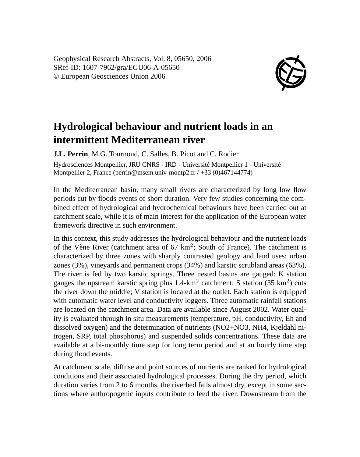Geophysical Research Abstracts, Vol. 8, 05650, 2006 SRef-ID: 1607-7962/gra/EGU06-A-05650 © European Geosciences Union 2006



## **Hydrological behaviour and nutrient loads in an intermittent Mediterranean river**

**J.L. Perrin**, M.G. Tournoud, C. Salles, B. Picot and C. Rodier Hydrosciences Montpellier, JRU CNRS - IRD - Université Montpellier 1 - Université Montpellier 2, France (perrin@msem.univ-montp2.fr / +33 (0)467144774)

In the Mediterranean basin, many small rivers are characterized by long low flow periods cut by floods events of short duration. Very few studies concerning the combined effect of hydrological and hydrochemical behaviours have been carried out at catchment scale, while it is of main interest for the application of the European water framework directive in such environment.

In this context, this study addresses the hydrological behaviour and the nutrient loads of the Vène River (catchment area of  $67 \text{ km}^2$ ; South of France). The catchment is characterized by three zones with sharply contrasted geology and land uses: urban zones (3%), vineyards and permanent crops (34%) and karstic scrubland areas (63%). The river is fed by two karstic springs. Three nested basins are gauged: K station gauges the upstream karstic spring plus  $1.4\text{-}km^2$  catchment; S station (35 km<sup>2</sup>) cuts the river down the middle; V station is located at the outlet. Each station is equipped with automatic water level and conductivity loggers. Three automatic rainfall stations are located on the catchment area. Data are available since August 2002. Water quality is evaluated through in situ measurements (temperature, pH, conductivity, Eh and dissolved oxygen) and the determination of nutrients (NO2+NO3, NH4, Kjeldahl nitrogen, SRP, total phosphorus) and suspended solids concentrations. These data are available at a bi-monthly time step for long term period and at an hourly time step during flood events.

At catchment scale, diffuse and point sources of nutrients are ranked for hydrological conditions and their associated hydrological processes. During the dry period, which duration varies from 2 to 6 months, the riverbed falls almost dry, except in some sections where anthropogenic inputs contribute to feed the river. Downstream from the